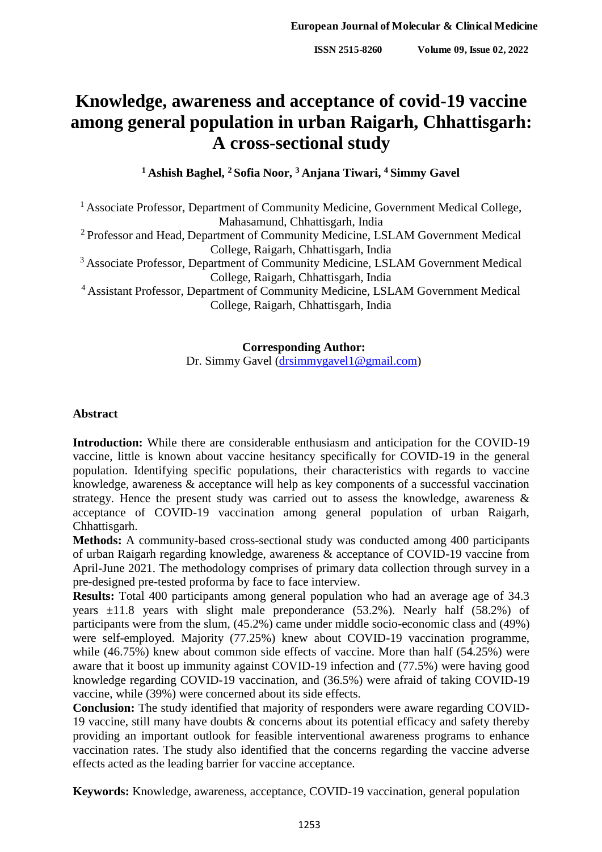# **Knowledge, awareness and acceptance of covid-19 vaccine among general population in urban Raigarh, Chhattisgarh: A cross-sectional study**

**<sup>1</sup> Ashish Baghel, <sup>2</sup> Sofia Noor, <sup>3</sup> Anjana Tiwari, <sup>4</sup> Simmy Gavel**

<sup>1</sup> Associate Professor, Department of Community Medicine, Government Medical College, Mahasamund, Chhattisgarh, India

<sup>2</sup> Professor and Head, Department of Community Medicine, LSLAM Government Medical College, Raigarh, Chhattisgarh, India

<sup>3</sup> Associate Professor, Department of Community Medicine, LSLAM Government Medical College, Raigarh, Chhattisgarh, India

<sup>4</sup> Assistant Professor, Department of Community Medicine, LSLAM Government Medical College, Raigarh, Chhattisgarh, India

> **Corresponding Author:** Dr. Simmy Gavel [\(drsimmygavel1@gmail.com\)](mailto:drsimmygavel1@gmail.com)

# **Abstract**

**Introduction:** While there are considerable enthusiasm and anticipation for the COVID-19 vaccine, little is known about vaccine hesitancy specifically for COVID-19 in the general population. Identifying specific populations, their characteristics with regards to vaccine knowledge, awareness & acceptance will help as key components of a successful vaccination strategy. Hence the present study was carried out to assess the knowledge, awareness & acceptance of COVID-19 vaccination among general population of urban Raigarh, Chhattisgarh.

**Methods:** A community-based cross-sectional study was conducted among 400 participants of urban Raigarh regarding knowledge, awareness & acceptance of COVID-19 vaccine from April-June 2021. The methodology comprises of primary data collection through survey in a pre-designed pre-tested proforma by face to face interview.

**Results:** Total 400 participants among general population who had an average age of 34.3 years  $\pm 11.8$  years with slight male preponderance (53.2%). Nearly half (58.2%) of participants were from the slum, (45.2%) came under middle socio-economic class and (49%) were self-employed. Majority (77.25%) knew about COVID-19 vaccination programme, while (46.75%) knew about common side effects of vaccine. More than half (54.25%) were aware that it boost up immunity against COVID-19 infection and (77.5%) were having good knowledge regarding COVID-19 vaccination, and (36.5%) were afraid of taking COVID-19 vaccine, while (39%) were concerned about its side effects.

**Conclusion:** The study identified that majority of responders were aware regarding COVID-19 vaccine, still many have doubts & concerns about its potential efficacy and safety thereby providing an important outlook for feasible interventional awareness programs to enhance vaccination rates. The study also identified that the concerns regarding the vaccine adverse effects acted as the leading barrier for vaccine acceptance.

**Keywords:** Knowledge, awareness, acceptance, COVID-19 vaccination, general population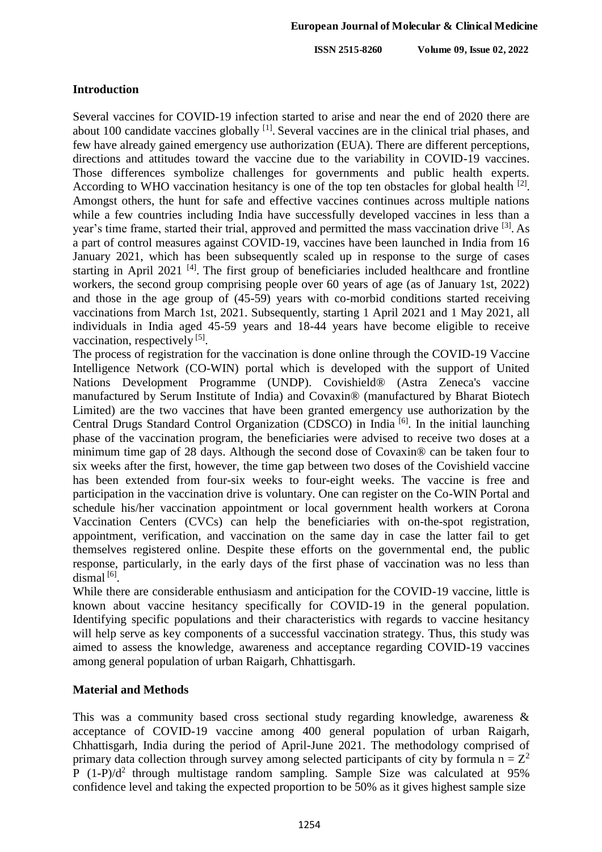### **Introduction**

Several vaccines for COVID-19 infection started to arise and near the end of 2020 there are about 100 candidate vaccines globally <sup>[1]</sup>. Several vaccines are in the clinical trial phases, and few have already gained emergency use authorization (EUA). There are different perceptions, directions and attitudes toward the vaccine due to the variability in COVID-19 vaccines. Those differences symbolize challenges for governments and public health experts. According to WHO vaccination hesitancy is one of the top ten obstacles for global health <sup>[2]</sup>. Amongst others, the hunt for safe and effective vaccines continues across multiple nations while a few countries including India have successfully developed vaccines in less than a year's time frame, started their trial, approved and permitted the mass vaccination drive <sup>[3]</sup>. As a part of control measures against COVID-19, vaccines have been launched in India from 16 January 2021, which has been subsequently scaled up in response to the surge of cases starting in April 2021<sup>[4]</sup>. The first group of beneficiaries included healthcare and frontline workers, the second group comprising people over 60 years of age (as of January 1st, 2022) and those in the age group of (45-59) years with co-morbid conditions started receiving vaccinations from March 1st, 2021. Subsequently, starting 1 April 2021 and 1 May 2021, all individuals in India aged 45-59 years and 18-44 years have become eligible to receive vaccination, respectively<sup>[5]</sup>.

The process of registration for the vaccination is done online through the COVID-19 Vaccine Intelligence Network (CO-WIN) portal which is developed with the support of United Nations Development Programme (UNDP). Covishield® (Astra Zeneca's vaccine manufactured by Serum Institute of India) and Covaxin® (manufactured by Bharat Biotech Limited) are the two vaccines that have been granted emergency use authorization by the Central Drugs Standard Control Organization (CDSCO) in India<sup>[6]</sup>. In the initial launching phase of the vaccination program, the beneficiaries were advised to receive two doses at a minimum time gap of 28 days. Although the second dose of Covaxin® can be taken four to six weeks after the first, however, the time gap between two doses of the Covishield vaccine has been extended from four-six weeks to four-eight weeks. The vaccine is free and participation in the vaccination drive is voluntary. One can register on the Co-WIN Portal and schedule his/her vaccination appointment or local government health workers at Corona Vaccination Centers (CVCs) can help the beneficiaries with on-the-spot registration, appointment, verification, and vaccination on the same day in case the latter fail to get themselves registered online. Despite these efforts on the governmental end, the public response, particularly, in the early days of the first phase of vaccination was no less than dismal<sup>[6]</sup>.

While there are considerable enthusiasm and anticipation for the COVID-19 vaccine, little is known about vaccine hesitancy specifically for COVID-19 in the general population. Identifying specific populations and their characteristics with regards to vaccine hesitancy will help serve as key components of a successful vaccination strategy. Thus, this study was aimed to assess the knowledge, awareness and acceptance regarding COVID-19 vaccines among general population of urban Raigarh, Chhattisgarh.

# **Material and Methods**

This was a community based cross sectional study regarding knowledge, awareness & acceptance of COVID-19 vaccine among 400 general population of urban Raigarh, Chhattisgarh, India during the period of April-June 2021. The methodology comprised of primary data collection through survey among selected participants of city by formula  $n = Z^2$ P  $(1-P)/d^2$  through multistage random sampling. Sample Size was calculated at 95% confidence level and taking the expected proportion to be 50% as it gives highest sample size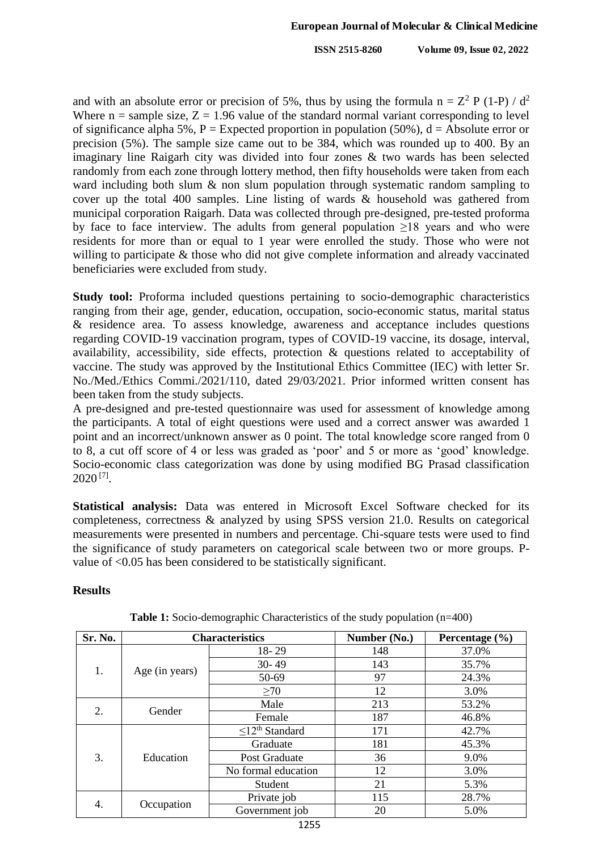and with an absolute error or precision of 5%, thus by using the formula  $n = Z^2 P (1-P)/d^2$ Where  $n =$  sample size,  $Z = 1.96$  value of the standard normal variant corresponding to level of significance alpha 5%, P = Expected proportion in population (50%),  $d =$  Absolute error or precision (5%). The sample size came out to be 384, which was rounded up to 400. By an imaginary line Raigarh city was divided into four zones & two wards has been selected randomly from each zone through lottery method, then fifty households were taken from each ward including both slum & non slum population through systematic random sampling to cover up the total 400 samples. Line listing of wards & household was gathered from municipal corporation Raigarh. Data was collected through pre-designed, pre-tested proforma by face to face interview. The adults from general population  $\geq 18$  years and who were residents for more than or equal to 1 year were enrolled the study. Those who were not willing to participate & those who did not give complete information and already vaccinated beneficiaries were excluded from study.

**Study tool:** Proforma included questions pertaining to socio-demographic characteristics ranging from their age, gender, education, occupation, socio-economic status, marital status & residence area. To assess knowledge, awareness and acceptance includes questions regarding COVID-19 vaccination program, types of COVID-19 vaccine, its dosage, interval, availability, accessibility, side effects, protection & questions related to acceptability of vaccine. The study was approved by the Institutional Ethics Committee (IEC) with letter Sr. No./Med./Ethics Commi./2021/110, dated 29/03/2021. Prior informed written consent has been taken from the study subjects.

A pre-designed and pre-tested questionnaire was used for assessment of knowledge among the participants. A total of eight questions were used and a correct answer was awarded 1 point and an incorrect/unknown answer as 0 point. The total knowledge score ranged from 0 to 8, a cut off score of 4 or less was graded as 'poor' and 5 or more as 'good' knowledge. Socio-economic class categorization was done by using modified BG Prasad classification  $2020$ <sup>[7]</sup>.

**Statistical analysis:** Data was entered in Microsoft Excel Software checked for its completeness, correctness & analyzed by using SPSS version 21.0. Results on categorical measurements were presented in numbers and percentage. Chi-square tests were used to find the significance of study parameters on categorical scale between two or more groups. Pvalue of <0.05 has been considered to be statistically significant.

# **Results**

| Sr. No. |                | <b>Characteristics</b>           | Number (No.) | Percentage $(\% )$ |  |
|---------|----------------|----------------------------------|--------------|--------------------|--|
|         |                | $18 - 29$                        | 148          | 37.0%              |  |
| 1.      |                | $30 - 49$                        | 143          | 35.7%              |  |
|         | Age (in years) | 50-69                            | 97           | 24.3%              |  |
|         |                | >70                              | 12           | 3.0%               |  |
| 2.      | Gender         | Male                             | 213          | 53.2%              |  |
|         |                | Female                           | 187          | 46.8%              |  |
|         |                | $\leq$ 12 <sup>th</sup> Standard | 171          | 42.7%              |  |
| 3.      | Education      | Graduate                         | 181          | 45.3%              |  |
|         |                | Post Graduate                    | 36           | 9.0%               |  |
|         |                | No formal education              | 12           | 3.0%               |  |
|         |                | Student                          | 21           | 5.3%               |  |
| 4.      |                | Private job                      | 115          | 28.7%              |  |
|         | Occupation     | Government job                   | 20           | 5.0%               |  |

**Table 1:** Socio-demographic Characteristics of the study population (n=400)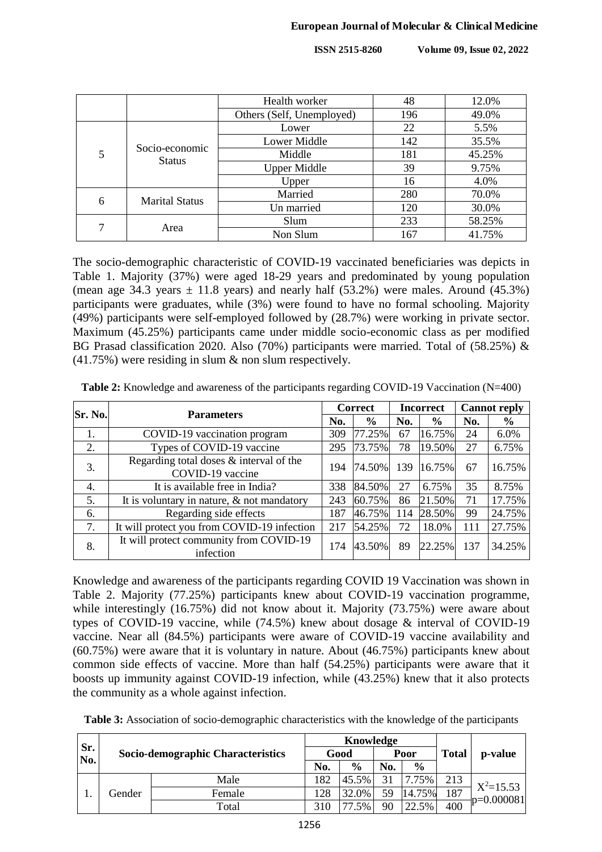|   |                       | Health worker             | 48  | 12.0%  |
|---|-----------------------|---------------------------|-----|--------|
|   |                       | Others (Self, Unemployed) | 196 | 49.0%  |
|   |                       | Lower                     | 22  | 5.5%   |
|   | Socio-economic        | Lower Middle              | 142 | 35.5%  |
| 5 | <b>Status</b>         | Middle                    | 181 | 45.25% |
|   |                       | <b>Upper Middle</b>       | 39  | 9.75%  |
|   |                       | Upper                     | 16  | 4.0%   |
| 6 | <b>Marital Status</b> | Married                   | 280 | 70.0%  |
|   |                       | Un married                | 120 | 30.0%  |
| 7 | Area                  | Slum                      | 233 | 58.25% |
|   |                       | Non Slum                  | 167 | 41.75% |

The socio-demographic characteristic of COVID-19 vaccinated beneficiaries was depicts in Table 1. Majority (37%) were aged 18-29 years and predominated by young population (mean age 34.3 years  $\pm$  11.8 years) and nearly half (53.2%) were males. Around (45.3%) participants were graduates, while (3%) were found to have no formal schooling. Majority (49%) participants were self-employed followed by (28.7%) were working in private sector. Maximum (45.25%) participants came under middle socio-economic class as per modified BG Prasad classification 2020. Also (70%) participants were married. Total of (58.25%) & (41.75%) were residing in slum & non slum respectively.

| Sr. No. | <b>Parameters</b>                                           |     | <b>Correct</b> |     | <b>Incorrect</b> |     | <b>Cannot reply</b> |  |
|---------|-------------------------------------------------------------|-----|----------------|-----|------------------|-----|---------------------|--|
|         |                                                             | No. | $\frac{6}{9}$  | No. | $\frac{6}{6}$    | No. | $\frac{6}{6}$       |  |
| 1.      | COVID-19 vaccination program                                | 309 | 77.25%         | 67  | 16.75%           | 24  | 6.0%                |  |
| 2.      | Types of COVID-19 vaccine                                   | 295 | 73.75%         | 78  | 19.50%           | 27  | 6.75%               |  |
| 3.      | Regarding total doses & interval of the<br>COVID-19 vaccine | 194 | 74.50%         | 139 | 16.75%           | 67  | 16.75%              |  |
| 4.      | It is available free in India?                              | 338 | 84.50%         | 27  | 6.75%            | 35  | 8.75%               |  |
| 5.      | It is voluntary in nature, $&$ not mandatory                | 243 | 60.75%         | 86  | 21.50%           | 71  | 17.75%              |  |
| 6.      | Regarding side effects                                      | 187 | 46.75%         | 114 | 28.50%           | 99  | 24.75%              |  |
| 7.      | It will protect you from COVID-19 infection                 | 217 | 54.25%         | 72  | 18.0%            | 111 | 27.75%              |  |
| 8.      | It will protect community from COVID-19<br>infection        | 174 | 43.50%         | 89  | 22.25%           | 137 | 34.25%              |  |

**Table 2:** Knowledge and awareness of the participants regarding COVID-19 Vaccination (N=400)

Knowledge and awareness of the participants regarding COVID 19 Vaccination was shown in Table 2. Majority (77.25%) participants knew about COVID-19 vaccination programme, while interestingly (16.75%) did not know about it. Majority (73.75%) were aware about types of COVID-19 vaccine, while (74.5%) knew about dosage & interval of COVID-19 vaccine. Near all (84.5%) participants were aware of COVID-19 vaccine availability and (60.75%) were aware that it is voluntary in nature. About (46.75%) participants knew about common side effects of vaccine. More than half (54.25%) participants were aware that it boosts up immunity against COVID-19 infection, while (43.25%) knew that it also protects the community as a whole against infection.

| Table 3: Association of socio-demographic characteristics with the knowledge of the participants |  |  |  |  |
|--------------------------------------------------------------------------------------------------|--|--|--|--|
|--------------------------------------------------------------------------------------------------|--|--|--|--|

| Sr. |        |                                   |     | Knowledge     |     |               |     |               |
|-----|--------|-----------------------------------|-----|---------------|-----|---------------|-----|---------------|
| No. |        | Socio-demographic Characteristics |     | Good          |     | Poor          |     | p-value       |
|     |        |                                   | No. | $\frac{0}{0}$ | No. | $\frac{0}{0}$ |     |               |
|     |        | Male                              | 182 | 45.5%         | 31  | 7.75%         | 213 | $X^2=15.53$   |
|     | Gender | Female                            | 128 | 32.0%         | 59  | 14.75%        | 187 | $-p=0.000081$ |
|     |        | Total                             | 310 | .5%           | 90  | 22.5%         | 400 |               |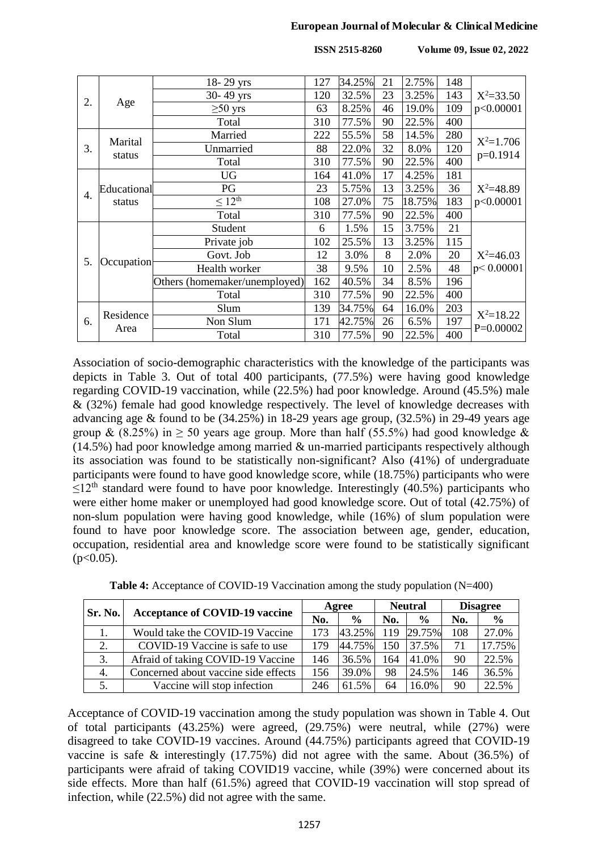#### **European Journal of Molecular & Clinical Medicine**

**ISSN 2515-8260 Volume 09, Issue 02, 2022**

|                  |             | 18-29 yrs                     | 127 | 34.25% | 21 | 2.75%  | 148 |               |
|------------------|-------------|-------------------------------|-----|--------|----|--------|-----|---------------|
|                  |             | 30-49 yrs                     | 120 | 32.5%  | 23 | 3.25%  | 143 | $X^2 = 33.50$ |
| 2.<br>Age        |             | $\geq 50$ yrs                 | 63  | 8.25%  | 46 | 19.0%  | 109 | p<0.00001     |
|                  |             | Total                         | 310 | 77.5%  | 90 | 22.5%  | 400 |               |
|                  | Marital     | Married                       | 222 | 55.5%  | 58 | 14.5%  | 280 | $X^2=1.706$   |
| 3.               |             | Unmarried                     | 88  | 22.0%  | 32 | 8.0%   | 120 | p=0.1914      |
|                  | status      | Total                         | 310 | 77.5%  | 90 | 22.5%  | 400 |               |
|                  |             | <b>UG</b>                     | 164 | 41.0%  | 17 | 4.25%  | 181 |               |
| $\overline{4}$ . | Educational | PG                            | 23  | 5.75%  | 13 | 3.25%  | 36  | $X^2 = 48.89$ |
|                  | status      | $\leq 12^{th}$                | 108 | 27.0%  | 75 | 18.75% | 183 | p<0.00001     |
|                  |             | Total                         | 310 | 77.5%  | 90 | 22.5%  | 400 |               |
|                  |             | Student                       | 6   | 1.5%   | 15 | 3.75%  | 21  |               |
|                  |             | Private job                   | 102 | 25.5%  | 13 | 3.25%  | 115 |               |
| 5.               |             | Govt. Job                     | 12  | 3.0%   | 8  | 2.0%   | 20  | $X^2 = 46.03$ |
|                  | Occupation  | Health worker                 | 38  | 9.5%   | 10 | 2.5%   | 48  | p < 0.00001   |
|                  |             | Others (homemaker/unemployed) | 162 | 40.5%  | 34 | 8.5%   | 196 |               |
|                  |             | Total                         | 310 | 77.5%  | 90 | 22.5%  | 400 |               |
|                  | Residence   | Slum                          | 139 | 34.75% | 64 | 16.0%  | 203 | $X^2 = 18.22$ |
| 6.               | Area        | Non Slum                      | 171 | 42.75% | 26 | 6.5%   | 197 | $P=0.00002$   |
|                  |             | Total                         | 310 | 77.5%  | 90 | 22.5%  | 400 |               |

Association of socio-demographic characteristics with the knowledge of the participants was depicts in Table 3. Out of total 400 participants, (77.5%) were having good knowledge regarding COVID-19 vaccination, while (22.5%) had poor knowledge. Around (45.5%) male & (32%) female had good knowledge respectively. The level of knowledge decreases with advancing age  $&$  found to be (34.25%) in 18-29 years age group, (32.5%) in 29-49 years age group & (8.25%) in  $\geq$  50 years age group. More than half (55.5%) had good knowledge &  $(14.5%)$  had poor knowledge among married & un-married participants respectively although its association was found to be statistically non-significant? Also (41%) of undergraduate participants were found to have good knowledge score, while (18.75%) participants who were  $\leq$ 12<sup>th</sup> standard were found to have poor knowledge. Interestingly (40.5%) participants who were either home maker or unemployed had good knowledge score. Out of total (42.75%) of non-slum population were having good knowledge, while (16%) of slum population were found to have poor knowledge score. The association between age, gender, education, occupation, residential area and knowledge score were found to be statistically significant  $(p<0.05)$ .

| Table 4: Acceptance of COVID-19 Vaccination among the study population (N=400) |  |  |  |  |  |  |  |  |
|--------------------------------------------------------------------------------|--|--|--|--|--|--|--|--|
|--------------------------------------------------------------------------------|--|--|--|--|--|--|--|--|

| Sr. No. | <b>Acceptance of COVID-19 vaccine</b> | Agree |               | <b>Neutral</b> |               | <b>Disagree</b> |        |
|---------|---------------------------------------|-------|---------------|----------------|---------------|-----------------|--------|
|         |                                       | No.   | $\frac{0}{0}$ | No.            | $\frac{0}{0}$ | No.             | $\%$   |
|         | Would take the COVID-19 Vaccine       | 173   | 43.25%        |                | 119 29.75%    | 108             | 27.0%  |
| 2.      | COVID-19 Vaccine is safe to use       | 179   | 44.75%        | 150            | 37.5%         | 71              | 17.75% |
| 3.      | Afraid of taking COVID-19 Vaccine     | 146   | 36.5%         | 164            | 41.0%         | 90              | 22.5%  |
| 4.      | Concerned about vaccine side effects  | 156   | 39.0%         | 98             | 24.5%         | 146             | 36.5%  |
|         | Vaccine will stop infection           | 246   | 61.5%         | 64             | 16.0%         | 90              | 22.5%  |

Acceptance of COVID-19 vaccination among the study population was shown in Table 4. Out of total participants (43.25%) were agreed, (29.75%) were neutral, while (27%) were disagreed to take COVID-19 vaccines. Around (44.75%) participants agreed that COVID-19 vaccine is safe & interestingly (17.75%) did not agree with the same. About (36.5%) of participants were afraid of taking COVID19 vaccine, while (39%) were concerned about its side effects. More than half (61.5%) agreed that COVID-19 vaccination will stop spread of infection, while (22.5%) did not agree with the same.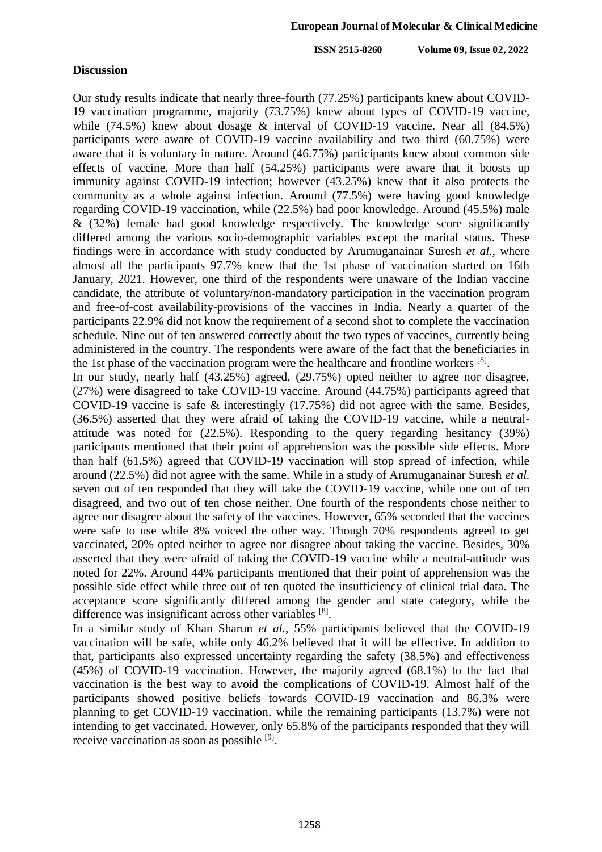#### **Discussion**

Our study results indicate that nearly three-fourth (77.25%) participants knew about COVID-19 vaccination programme, majority (73.75%) knew about types of COVID-19 vaccine, while (74.5%) knew about dosage & interval of COVID-19 vaccine. Near all (84.5%) participants were aware of COVID-19 vaccine availability and two third (60.75%) were aware that it is voluntary in nature. Around (46.75%) participants knew about common side effects of vaccine. More than half (54.25%) participants were aware that it boosts up immunity against COVID-19 infection; however (43.25%) knew that it also protects the community as a whole against infection. Around (77.5%) were having good knowledge regarding COVID-19 vaccination, while (22.5%) had poor knowledge. Around (45.5%) male & (32%) female had good knowledge respectively. The knowledge score significantly differed among the various socio-demographic variables except the marital status. These findings were in accordance with study conducted by Arumuganainar Suresh *et al.*, where almost all the participants 97.7% knew that the 1st phase of vaccination started on 16th January, 2021. However, one third of the respondents were unaware of the Indian vaccine candidate, the attribute of voluntary/non-mandatory participation in the vaccination program and free-of-cost availability-provisions of the vaccines in India. Nearly a quarter of the participants 22.9% did not know the requirement of a second shot to complete the vaccination schedule. Nine out of ten answered correctly about the two types of vaccines, currently being administered in the country. The respondents were aware of the fact that the beneficiaries in the 1st phase of the vaccination program were the healthcare and frontline workers [8].

In our study, nearly half (43.25%) agreed, (29.75%) opted neither to agree nor disagree, (27%) were disagreed to take COVID-19 vaccine. Around (44.75%) participants agreed that COVID-19 vaccine is safe & interestingly (17.75%) did not agree with the same. Besides, (36.5%) asserted that they were afraid of taking the COVID-19 vaccine, while a neutralattitude was noted for (22.5%). Responding to the query regarding hesitancy (39%) participants mentioned that their point of apprehension was the possible side effects. More than half (61.5%) agreed that COVID-19 vaccination will stop spread of infection, while around (22.5%) did not agree with the same. While in a study of Arumuganainar Suresh *et al.* seven out of ten responded that they will take the COVID-19 vaccine, while one out of ten disagreed, and two out of ten chose neither. One fourth of the respondents chose neither to agree nor disagree about the safety of the vaccines. However, 65% seconded that the vaccines were safe to use while 8% voiced the other way. Though 70% respondents agreed to get vaccinated, 20% opted neither to agree nor disagree about taking the vaccine. Besides, 30% asserted that they were afraid of taking the COVID-19 vaccine while a neutral-attitude was noted for 22%. Around 44% participants mentioned that their point of apprehension was the possible side effect while three out of ten quoted the insufficiency of clinical trial data. The acceptance score significantly differed among the gender and state category, while the difference was insignificant across other variables [8].

In a similar study of Khan Sharun *et al.*, 55% participants believed that the COVID-19 vaccination will be safe, while only 46.2% believed that it will be effective. In addition to that, participants also expressed uncertainty regarding the safety (38.5%) and effectiveness (45%) of COVID-19 vaccination. However, the majority agreed (68.1%) to the fact that vaccination is the best way to avoid the complications of COVID-19. Almost half of the participants showed positive beliefs towards COVID-19 vaccination and 86.3% were planning to get COVID-19 vaccination, while the remaining participants (13.7%) were not intending to get vaccinated. However, only 65.8% of the participants responded that they will receive vaccination as soon as possible [9].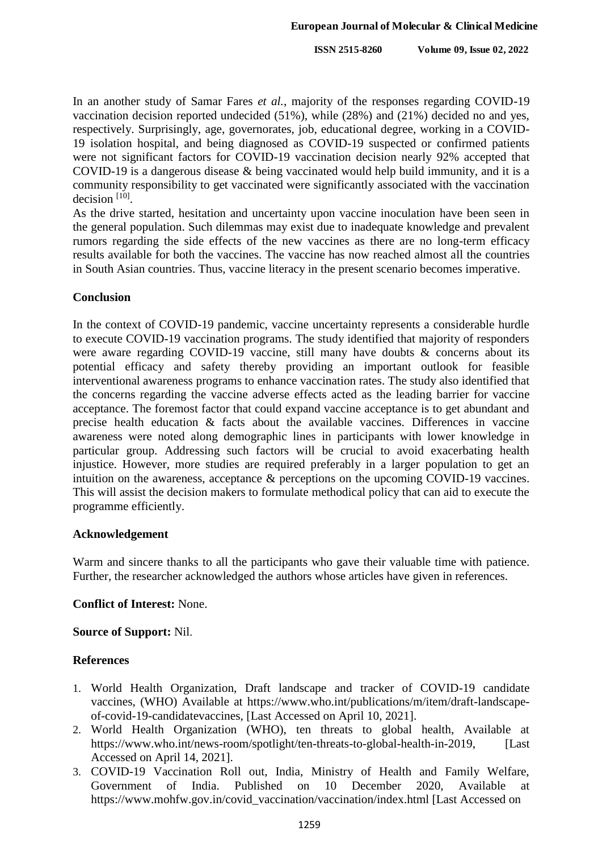In an another study of Samar Fares *et al.*, majority of the responses regarding COVID-19 vaccination decision reported undecided (51%), while (28%) and (21%) decided no and yes, respectively. Surprisingly, age, governorates, job, educational degree, working in a COVID-19 isolation hospital, and being diagnosed as COVID-19 suspected or confirmed patients were not significant factors for COVID-19 vaccination decision nearly 92% accepted that COVID-19 is a dangerous disease & being vaccinated would help build immunity, and it is a community responsibility to get vaccinated were significantly associated with the vaccination decision  $[10]$ .

As the drive started, hesitation and uncertainty upon vaccine inoculation have been seen in the general population. Such dilemmas may exist due to inadequate knowledge and prevalent rumors regarding the side effects of the new vaccines as there are no long-term efficacy results available for both the vaccines. The vaccine has now reached almost all the countries in South Asian countries. Thus, vaccine literacy in the present scenario becomes imperative.

## **Conclusion**

In the context of COVID-19 pandemic, vaccine uncertainty represents a considerable hurdle to execute COVID-19 vaccination programs. The study identified that majority of responders were aware regarding COVID-19 vaccine, still many have doubts & concerns about its potential efficacy and safety thereby providing an important outlook for feasible interventional awareness programs to enhance vaccination rates. The study also identified that the concerns regarding the vaccine adverse effects acted as the leading barrier for vaccine acceptance. The foremost factor that could expand vaccine acceptance is to get abundant and precise health education & facts about the available vaccines. Differences in vaccine awareness were noted along demographic lines in participants with lower knowledge in particular group. Addressing such factors will be crucial to avoid exacerbating health injustice. However, more studies are required preferably in a larger population to get an intuition on the awareness, acceptance & perceptions on the upcoming COVID-19 vaccines. This will assist the decision makers to formulate methodical policy that can aid to execute the programme efficiently.

#### **Acknowledgement**

Warm and sincere thanks to all the participants who gave their valuable time with patience. Further, the researcher acknowledged the authors whose articles have given in references.

# **Conflict of Interest:** None.

#### **Source of Support:** Nil.

# **References**

- 1. World Health Organization, Draft landscape and tracker of COVID-19 candidate vaccines, (WHO) Available at https://www.who.int/publications/m/item/draft-landscapeof-covid-19-candidatevaccines, [Last Accessed on April 10, 2021].
- 2. World Health Organization (WHO), ten threats to global health, Available at https://www.who.int/news-room/spotlight/ten-threats-to-global-health-in-2019, [Last Accessed on April 14, 2021].
- 3. COVID-19 Vaccination Roll out, India, Ministry of Health and Family Welfare, Government of India. Published on 10 December 2020, Available https://www.mohfw.gov.in/covid\_vaccination/vaccination/index.html [Last Accessed on